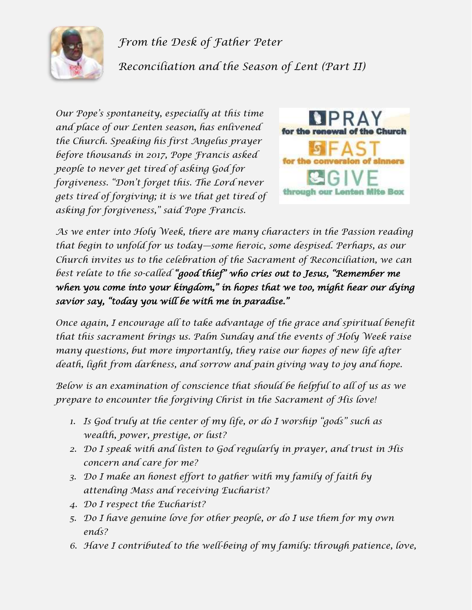

*From the Desk of Father Peter Reconciliation and the Season of Lent (Part II)*

*Our Pope's spontaneity, especially at this time and place of our Lenten season, has enlivened the Church. Speaking his first Angelus prayer before thousands in 2017, Pope Francis asked people to never get tired of asking God for forgiveness. "Don't forget this. The Lord never gets tired of forgiving; it is we that get tired of asking for forgiveness," said Pope Francis.*



*As we enter into Holy Week, there are many characters in the Passion reading that begin to unfold for us today—some heroic, some despised. Perhaps, as our Church invites us to the celebration of the Sacrament of Reconciliation, we can best relate to the so-called "good thief" who cries out to Jesus, "Remember me when you come into your kingdom," in hopes that we too, might hear our dying savior say, "today you will be with me in paradise."*

*Once again, I encourage all to take advantage of the grace and spiritual benefit that this sacrament brings us. Palm Sunday and the events of Holy Week raise many questions, but more importantly, they raise our hopes of new life after death, light from darkness, and sorrow and pain giving way to joy and hope.* 

*Below is an examination of conscience that should be helpful to all of us as we prepare to encounter the forgiving Christ in the Sacrament of His love!*

- *1. Is God truly at the center of my life, or do I worship "gods" such as wealth, power, prestige, or lust?*
- *2. Do I speak with and listen to God regularly in prayer, and trust in His concern and care for me?*
- *3. Do I make an honest effort to gather with my family of faith by attending Mass and receiving Eucharist?*
- *4. Do I respect the Eucharist?*
- *5. Do I have genuine love for other people, or do I use them for my own ends?*
- *6. Have I contributed to the well-being of my family: through patience, love,*